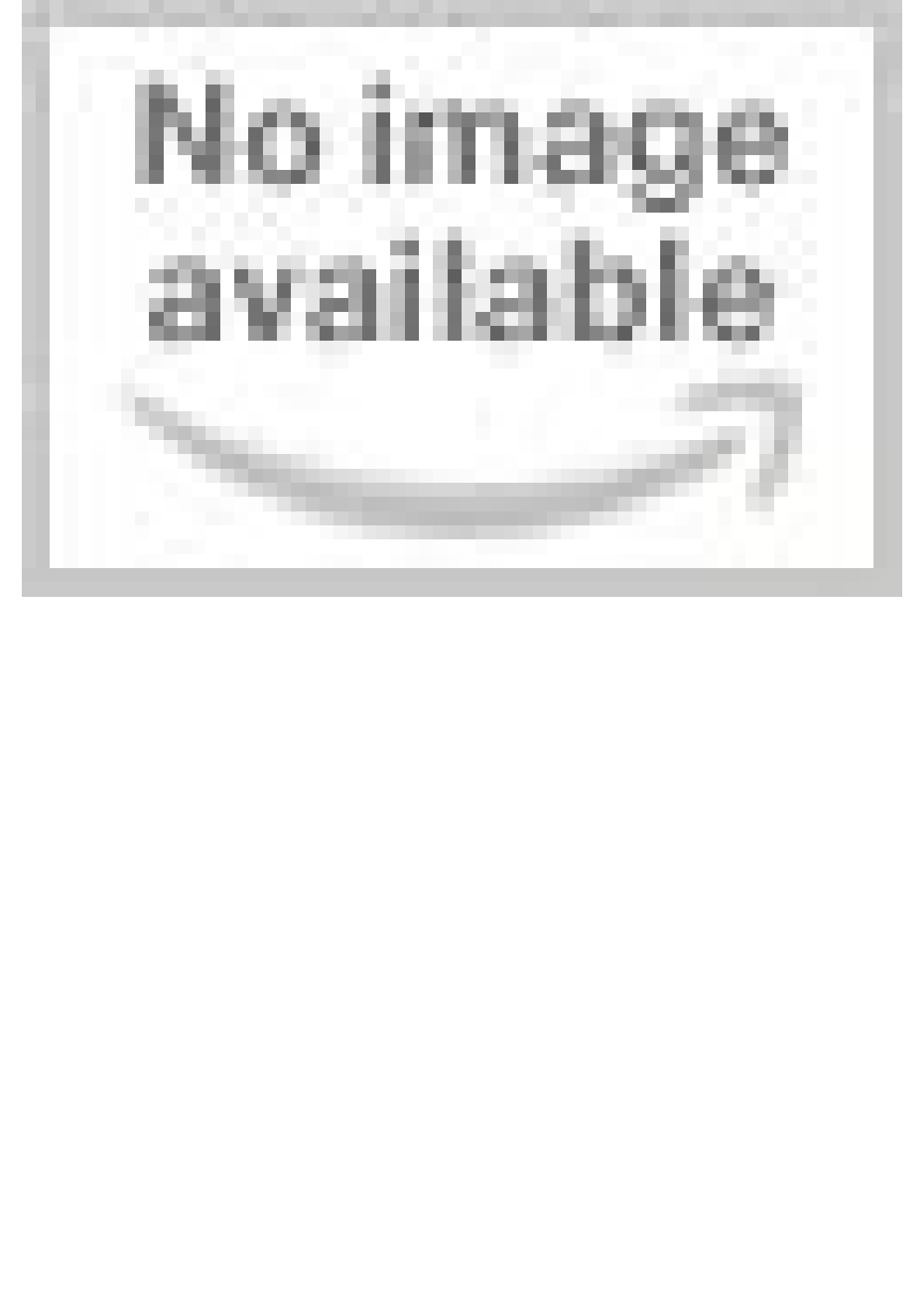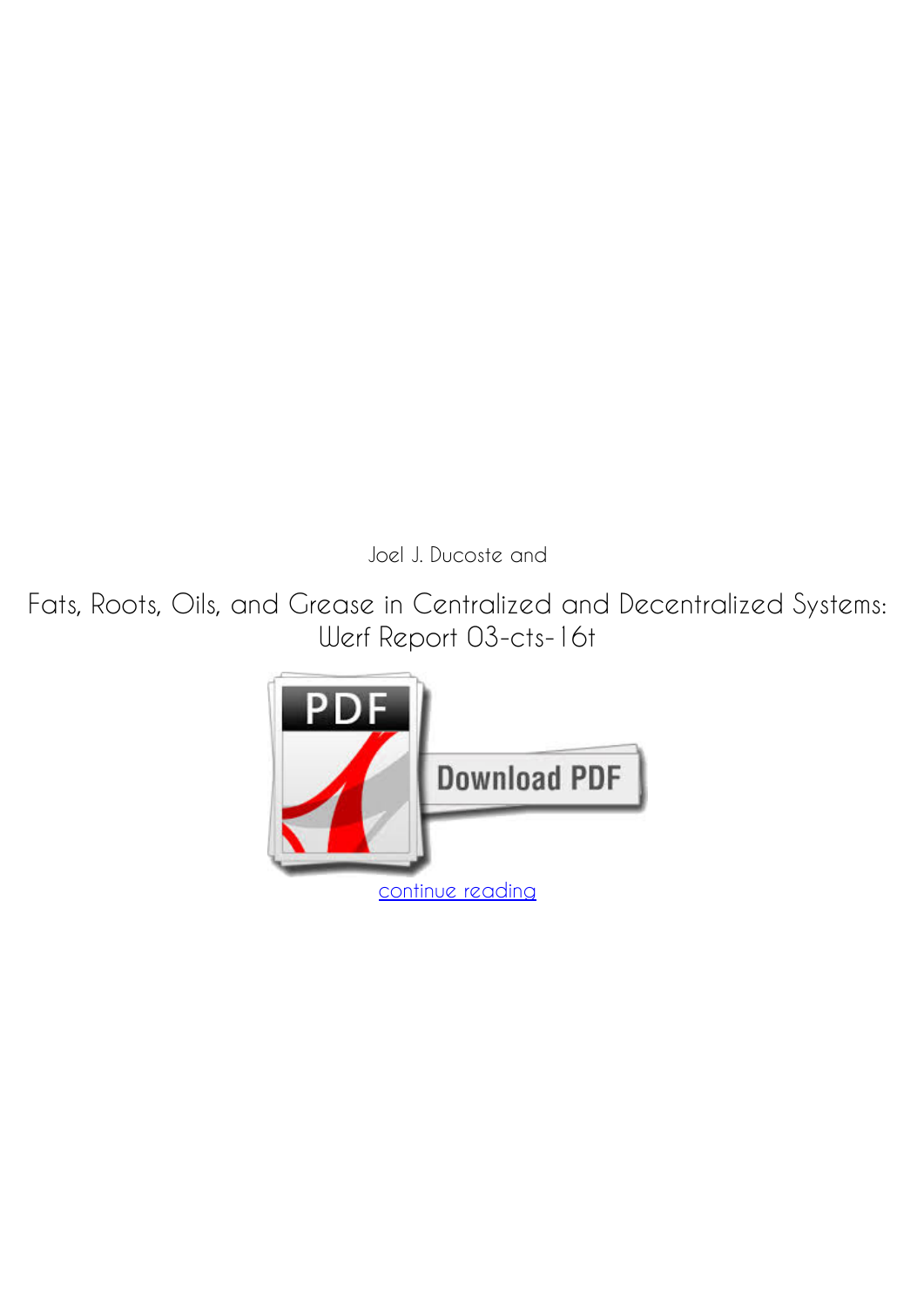*Joel J. Ducoste and*

**Fats, Roots, Oils, and Grease in Centralized and Decentralized Systems: Werf Report 03-cts-16t**

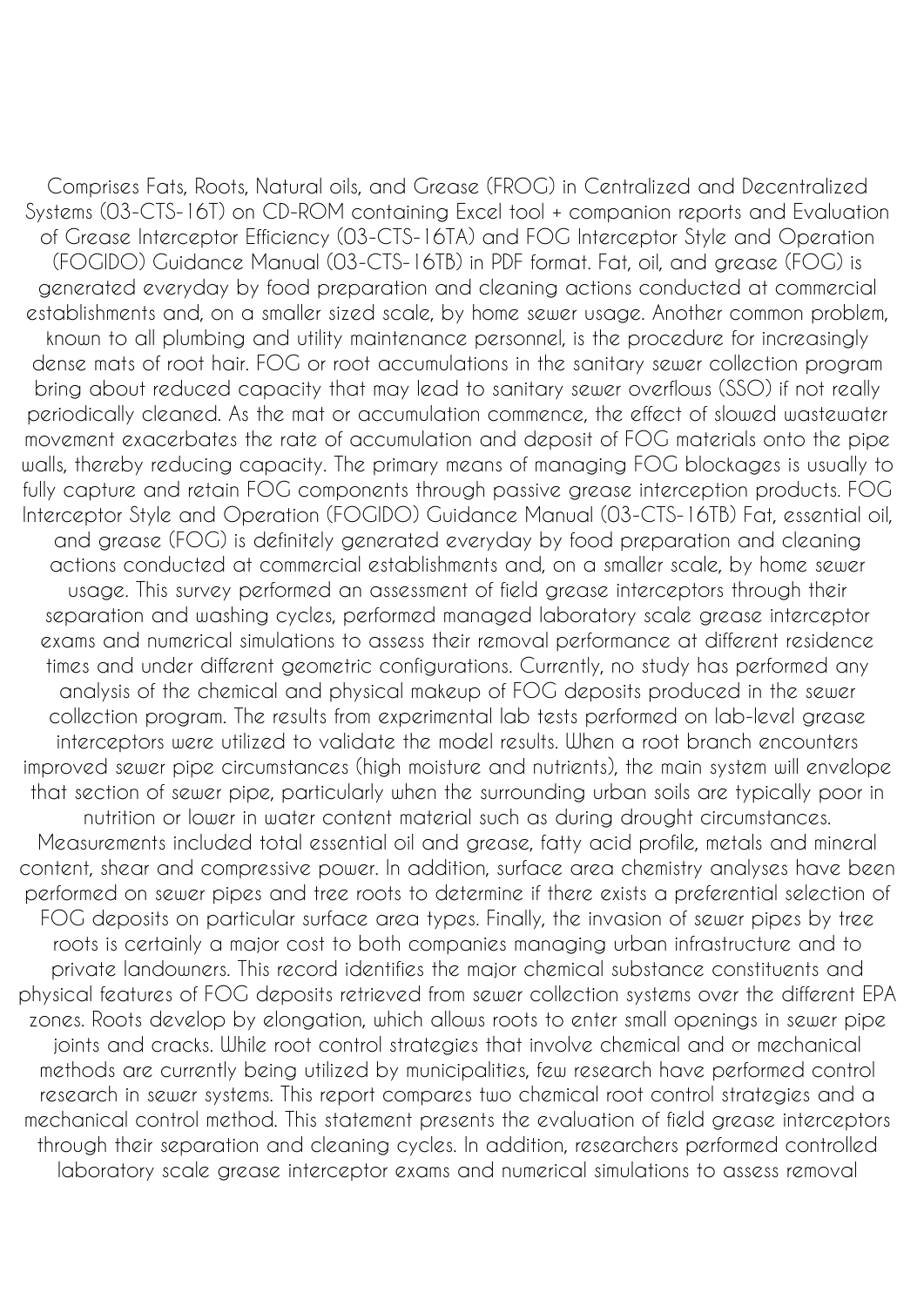Comprises Fats, Roots, Natural oils, and Grease (FROG) in Centralized and Decentralized Systems (03-CTS-16T) on CD-ROM containing Excel tool + companion reports and Evaluation of Grease Interceptor Efficiency (03-CTS-16TA) and FOG Interceptor Style and Operation (FOGIDO) Guidance Manual (03-CTS-16TB) in PDF format. Fat, oil, and grease (FOG) is generated everyday by food preparation and cleaning actions conducted at commercial establishments and, on a smaller sized scale, by home sewer usage. Another common problem, known to all plumbing and utility maintenance personnel, is the procedure for increasingly dense mats of root hair. FOG or root accumulations in the sanitary sewer collection program bring about reduced capacity that may lead to sanitary sewer overflows (SSO) if not really periodically cleaned. As the mat or accumulation commence, the effect of slowed wastewater movement exacerbates the rate of accumulation and deposit of FOG materials onto the pipe walls, thereby reducing capacity. The primary means of managing FOG blockages is usually to fully capture and retain FOG components through passive grease interception products. FOG Interceptor Style and Operation (FOGIDO) Guidance Manual (03-CTS-16TB) Fat, essential oil, and grease (FOG) is definitely generated everyday by food preparation and cleaning actions conducted at commercial establishments and, on a smaller scale, by home sewer usage. This survey performed an assessment of field grease interceptors through their separation and washing cycles, performed managed laboratory scale grease interceptor exams and numerical simulations to assess their removal performance at different residence times and under different geometric configurations. Currently, no study has performed any analysis of the chemical and physical makeup of FOG deposits produced in the sewer collection program. The results from experimental lab tests performed on lab-level grease interceptors were utilized to validate the model results. When a root branch encounters improved sewer pipe circumstances (high moisture and nutrients), the main system will envelope that section of sewer pipe, particularly when the surrounding urban soils are typically poor in nutrition or lower in water content material such as during drought circumstances. Measurements included total essential oil and grease, fatty acid profile, metals and mineral content, shear and compressive power. In addition, surface area chemistry analyses have been performed on sewer pipes and tree roots to determine if there exists a preferential selection of FOG deposits on particular surface area types. Finally, the invasion of sewer pipes by tree roots is certainly a major cost to both companies managing urban infrastructure and to private landowners. This record identifies the major chemical substance constituents and physical features of FOG deposits retrieved from sewer collection systems over the different EPA zones. Roots develop by elongation, which allows roots to enter small openings in sewer pipe joints and cracks. While root control strategies that involve chemical and or mechanical methods are currently being utilized by municipalities, few research have performed control research in sewer systems. This report compares two chemical root control strategies and a mechanical control method. This statement presents the evaluation of field grease interceptors through their separation and cleaning cycles. In addition, researchers performed controlled laboratory scale grease interceptor exams and numerical simulations to assess removal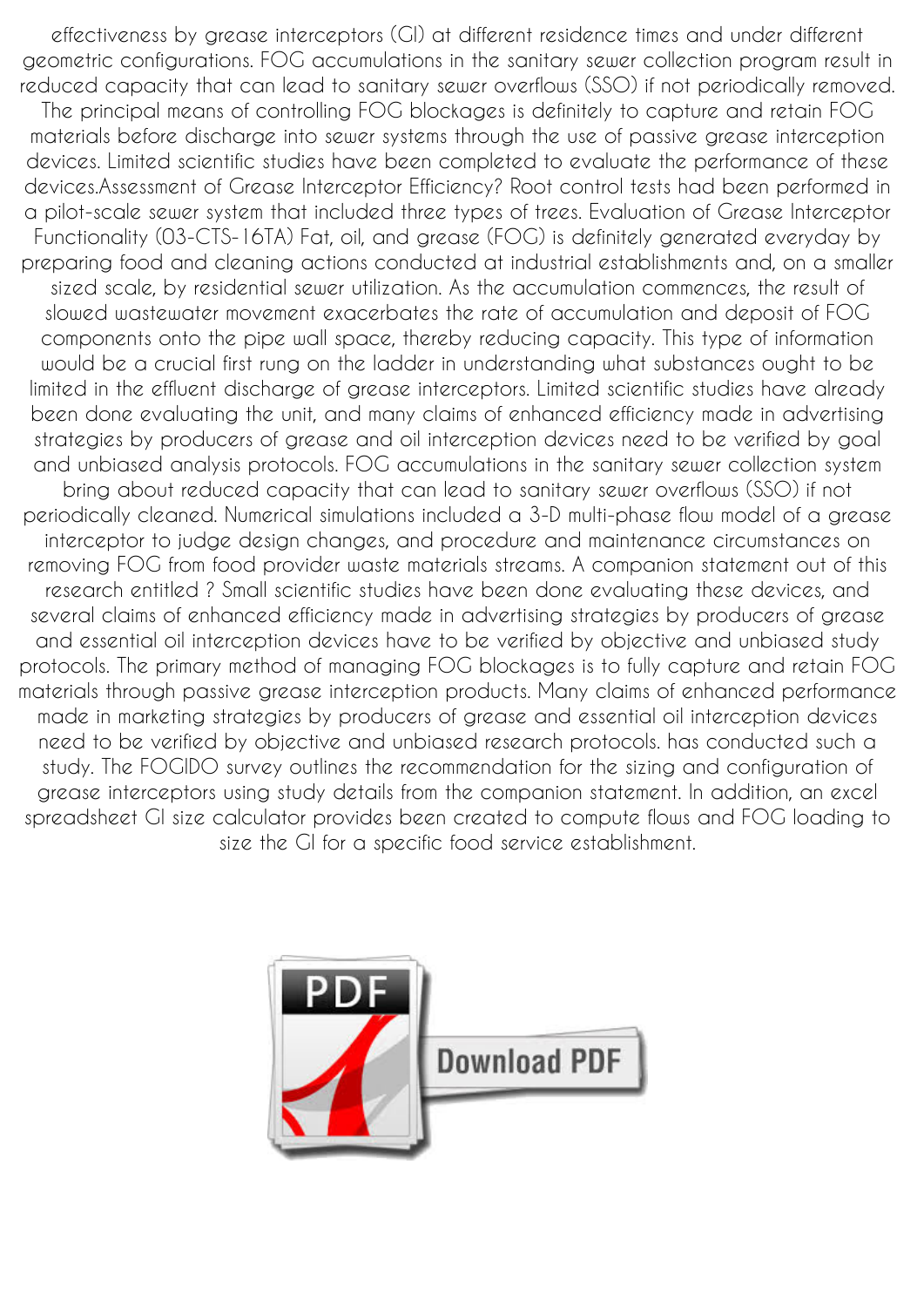effectiveness by grease interceptors (GI) at different residence times and under different geometric configurations. FOG accumulations in the sanitary sewer collection program result in reduced capacity that can lead to sanitary sewer overflows (SSO) if not periodically removed. The principal means of controlling FOG blockages is definitely to capture and retain FOG materials before discharge into sewer systems through the use of passive grease interception devices. Limited scientific studies have been completed to evaluate the performance of these devices.Assessment of Grease Interceptor Efficiency? Root control tests had been performed in a pilot-scale sewer system that included three types of trees. Evaluation of Grease Interceptor Functionality (03-CTS-16TA) Fat, oil, and grease (FOG) is definitely generated everyday by preparing food and cleaning actions conducted at industrial establishments and, on a smaller sized scale, by residential sewer utilization. As the accumulation commences, the result of slowed wastewater movement exacerbates the rate of accumulation and deposit of FOG components onto the pipe wall space, thereby reducing capacity. This type of information would be a crucial first rung on the ladder in understanding what substances ought to be limited in the effluent discharge of grease interceptors. Limited scientific studies have already been done evaluating the unit, and many claims of enhanced efficiency made in advertising strategies by producers of grease and oil interception devices need to be verified by goal and unbiased analysis protocols. FOG accumulations in the sanitary sewer collection system bring about reduced capacity that can lead to sanitary sewer overflows (SSO) if not periodically cleaned. Numerical simulations included a 3-D multi-phase flow model of a grease interceptor to judge design changes, and procedure and maintenance circumstances on removing FOG from food provider waste materials streams. A companion statement out of this research entitled ? Small scientific studies have been done evaluating these devices, and several claims of enhanced efficiency made in advertising strategies by producers of grease and essential oil interception devices have to be verified by objective and unbiased study protocols. The primary method of managing FOG blockages is to fully capture and retain FOG materials through passive grease interception products. Many claims of enhanced performance made in marketing strategies by producers of grease and essential oil interception devices need to be verified by objective and unbiased research protocols. has conducted such a study. The FOGIDO survey outlines the recommendation for the sizing and configuration of grease interceptors using study details from the companion statement. In addition, an excel spreadsheet GI size calculator provides been created to compute flows and FOG loading to size the GI for a specific food service establishment.